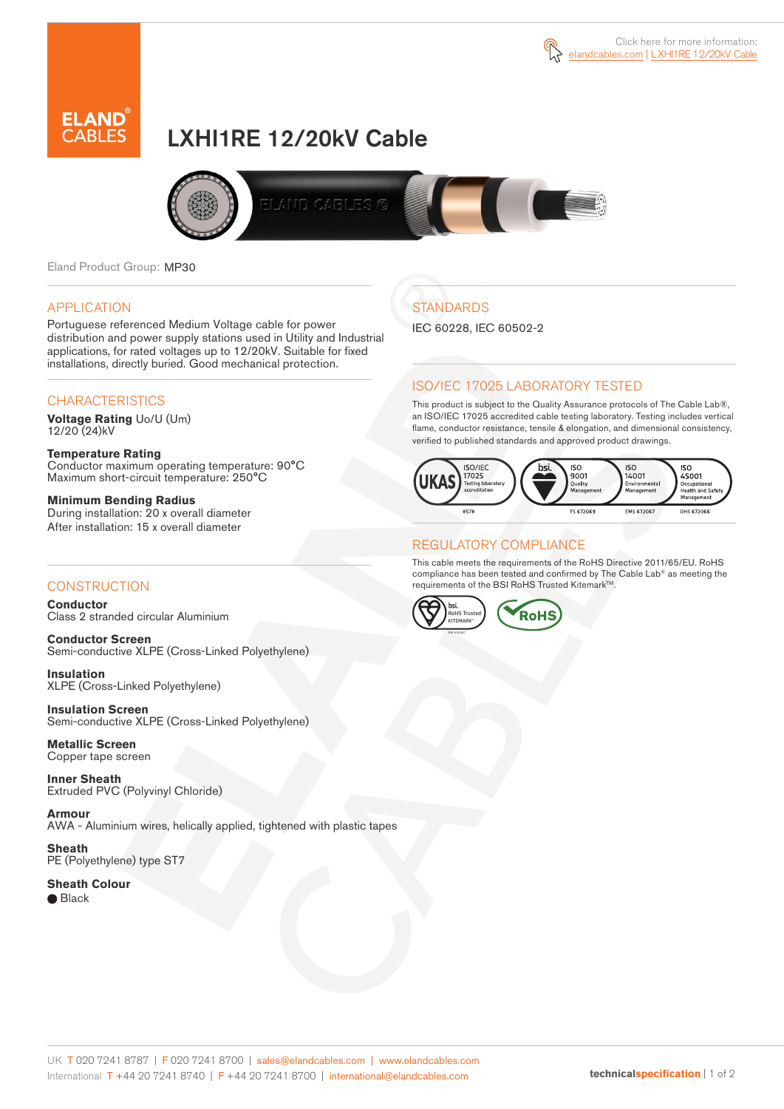



# LXHI1RE 12/20kV Cable



Eland Product Group: MP30

#### APPLICATION

Portuguese referenced Medium Voltage cable for power distribution and power supply stations used in Utility and Industrial applications, for rated voltages up to 12/20kV. Suitable for fixed installations, directly buried. Good mechanical protection.

### **CHARACTERISTICS**

**Voltage Rating** Uo/U (Um) 12/20 (24)kV

**Temperature Rating** Conductor maximum operating temperature: 90°C Maximum short-circuit temperature: 250°C

**Minimum Bending Radius** During installation: 20 x overall diameter After installation: 15 x overall diameter

### **CONSTRUCTION**

**Conductor**  Class 2 stranded circular Aluminium

**Conductor Screen** Semi-conductive XLPE (Cross-Linked Polyethylene)

**Insulation** XLPE (Cross-Linked Polyethylene)

**Insulation Screen** Semi-conductive XLPE (Cross-Linked Polyethylene)

**Metallic Screen**  Copper tape screen

**Inner Sheath** Extruded PVC (Polyvinyl Chloride)

**Armour** AWA - Aluminium wires, helically applied, tightened with plastic tapes

**Sheath** PE (Polyethylene) type ST7

**Sheath Colour**  ● Black

# **STANDARDS**

IEC 60228, IEC 60502-2

### ISO/IEC 17025 LABORATORY TESTED

This product is subject to the Quality Assurance protocols of The Cable Lab®, an ISO/IEC 17025 accredited cable testing laboratory. Testing includes vertical flame, conductor resistance, tensile & elongation, and dimensional consistency, verified to published standards and approved product drawings.



### REGULATORY COMPLIANCE

This cable meets the requirements of the RoHS Directive 2011/65/EU. RoHS compliance has been tested and confirmed by The Cable Lab® as meeting the requirements of the BSI RoHS Trusted Kitemark™.